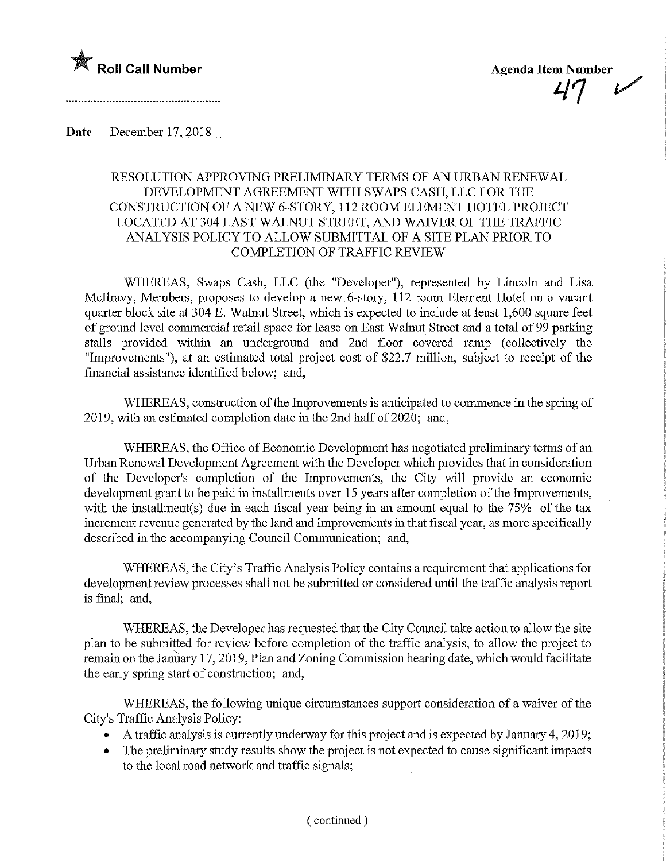

Date December 17, 2018

## RESOLUTION APPROVING PRELIMFNARY TERMS OF AN URBAN RENEWAL DEVELOPMENT AGREEMENT WITH SWAPS CASH, LLC FOR THE CONSTRUCTION OF A NEW 6-STORY, 112 ROOM ELEMENT HOTEL PROJECT LOCATED AT 304 EAST WALNUT STREET, AND WAIVER OF THE TRAFFIC ANALYSIS POLICY TO ALLOW SUBMITTAL OF A SITE PLAN PRIOR TO COMPLETION OF TRAFFIC REVIEW

WHEREAS, Swaps Cash, LLC (the "Developer"), represented by Lincoln and Lisa Mcllravy, Members, proposes to develop a new 6-story, 112 room Element Hotel on a vacant quarter block site at 304 E. Walnut Street, which is expected to include at least 1,600 square feet of ground level commercial retail space for lease on East Walnut Street and a total of 99 parking stalls provided within an underground and 2nd floor covered ramp (collectively the "Improvements"), at an estimated total project cost of \$22.7 million, subject to receipt of the financial assistance identified below; and,

WHEREAS, construction of the Improvements is anticipated to commence in the spring of 2019, with an estimated completion date in the 2nd half of 2020; and,

WHEREAS, the Office of Economic Development has negotiated preliminary terms of an Urban Renewal Development Agreement with the Developer which provides that in consideration of the Developer's completion of the Improvements, the City will provide an economic development grant to be paid in installments over 15 years after completion of the Improvements, with the installment(s) due in each fiscal year being in an amount equal to the 75% of the tax increment revenue generated by the land and Improvements in that fiscal year, as more specifically described in the accompanying Council Communication; and,

WHEREAS, the City's Traffic Analysis Policy contains a requirement that applications for development review processes shall not be submitted or considered until the traffic analysis report is final; and,

WHEREAS, the Developer has requested that the City Council take action to allow the site plan to be submitted for review before completion of the traffic analysis, to allow the project to remain on the January 17, 2019, Plan and Zoning Commission hearing date, which would facilitate the early spring start of construction; and,

WHEREAS, the following unique circumstances support consideration of a waiver of the City's Traffic Analysis Policy:

- A traffic analysis is currently underway for this project and is expected by January 4,2019;
- The preliminary study results show the project is not expected to cause significant impacts to the local road network and traffic signals;